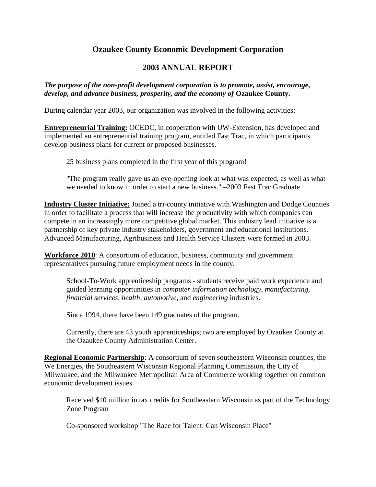## **Ozaukee County Economic Development Corporation**

## **2003 ANNUAL REPORT**

## *The purpose of the non-profit development corporation is to promote, assist, encourage, develop, and advance business, prosperity, and the economy of* **Ozaukee County.**

During calendar year 2003, our organization was involved in the following activities:

**Entrepreneurial Training:** OCEDC, in cooperation with UW-Extension, has developed and implemented an entrepreneurial training program, entitled Fast Trac, in which participants develop business plans for current or proposed businesses.

25 business plans completed in the first year of this program!

"The program really gave us an eye-opening look at what was expected, as well as what we needed to know in order to start a new business." –2003 Fast Trac Graduate

**Industry Cluster Initiative:** Joined a tri-county initiative with Washington and Dodge Counties in order to facilitate a process that will increase the productivity with which companies can compete in an increasingly more competitive global market. This industry lead initiative is a partnership of key private industry stakeholders, government and educational institutions. Advanced Manufacturing, Agribusiness and Health Service Clusters were formed in 2003.

**Workforce 2010**: A consortium of education, business, community and government representatives pursuing future employment needs in the county.

School-To-Work apprenticeship programs - students receive paid work experience and guided learning opportunities in *computer information technology, manufacturing, financial services, health, automotive,* and *engineering* industries.

Since 1994, there have been 149 graduates of the program.

Currently, there are 43 youth apprenticeships; two are employed by Ozaukee County at the Ozaukee County Administration Center.

**Regional Economic Partnership**: A consortium of seven southeastern Wisconsin counties, the We Energies, the Southeastern Wisconsin Regional Planning Commission, the City of Milwaukee, and the Milwaukee Metropolitan Area of Commerce working together on common economic development issues.

Received \$10 million in tax credits for Southeastern Wisconsin as part of the Technology Zone Program

Co-sponsored workshop "The Race for Talent: Can Wisconsin Place"